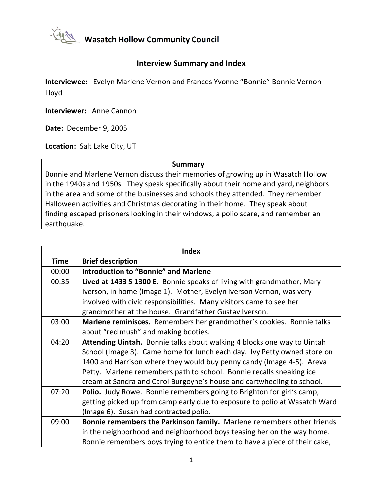

Wasatch Hollow Community Council

## **Interview Summary and Index**

**Interviewee:** Evelyn Marlene Vernon and Frances Yvonne "Bonnie" Bonnie Vernon Lloyd

**Interviewer:** Anne Cannon

**Date:** December 9, 2005

**Location:** Salt Lake City, UT

**Summary**

Bonnie and Marlene Vernon discuss their memories of growing up in Wasatch Hollow in the 1940s and 1950s. They speak specifically about their home and yard, neighbors in the area and some of the businesses and schools they attended. They remember Halloween activities and Christmas decorating in their home. They speak about finding escaped prisoners looking in their windows, a polio scare, and remember an earthquake.

| <b>Index</b> |                                                                            |  |
|--------------|----------------------------------------------------------------------------|--|
| <b>Time</b>  | <b>Brief description</b>                                                   |  |
| 00:00        | <b>Introduction to "Bonnie" and Marlene</b>                                |  |
| 00:35        | Lived at 1433 S 1300 E. Bonnie speaks of living with grandmother, Mary     |  |
|              | Iverson, in home (Image 1). Mother, Evelyn Iverson Vernon, was very        |  |
|              | involved with civic responsibilities. Many visitors came to see her        |  |
|              | grandmother at the house. Grandfather Gustav Iverson.                      |  |
| 03:00        | Marlene reminisces. Remembers her grandmother's cookies. Bonnie talks      |  |
|              | about "red mush" and making booties.                                       |  |
| 04:20        | Attending Uintah. Bonnie talks about walking 4 blocks one way to Uintah    |  |
|              | School (Image 3). Came home for lunch each day. Ivy Petty owned store on   |  |
|              | 1400 and Harrison where they would buy penny candy (Image 4-5). Areva      |  |
|              | Petty. Marlene remembers path to school. Bonnie recalls sneaking ice       |  |
|              | cream at Sandra and Carol Burgoyne's house and cartwheeling to school.     |  |
| 07:20        | Polio. Judy Rowe. Bonnie remembers going to Brighton for girl's camp,      |  |
|              | getting picked up from camp early due to exposure to polio at Wasatch Ward |  |
|              | (Image 6). Susan had contracted polio.                                     |  |
| 09:00        | Bonnie remembers the Parkinson family. Marlene remembers other friends     |  |
|              | in the neighborhood and neighborhood boys teasing her on the way home.     |  |
|              | Bonnie remembers boys trying to entice them to have a piece of their cake, |  |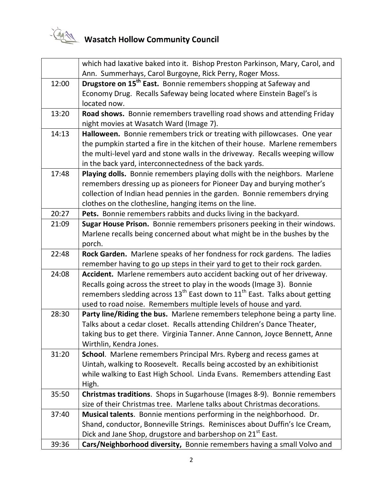

|       | which had laxative baked into it. Bishop Preston Parkinson, Mary, Carol, and         |
|-------|--------------------------------------------------------------------------------------|
|       | Ann. Summerhays, Carol Burgoyne, Rick Perry, Roger Moss.                             |
| 12:00 | Drugstore on 15 <sup>th</sup> East. Bonnie remembers shopping at Safeway and         |
|       | Economy Drug. Recalls Safeway being located where Einstein Bagel's is                |
|       | located now.                                                                         |
| 13:20 | Road shows. Bonnie remembers travelling road shows and attending Friday              |
|       | night movies at Wasatch Ward (Image 7).                                              |
| 14:13 | Halloween. Bonnie remembers trick or treating with pillowcases. One year             |
|       | the pumpkin started a fire in the kitchen of their house. Marlene remembers          |
|       | the multi-level yard and stone walls in the driveway. Recalls weeping willow         |
|       | in the back yard, interconnectedness of the back yards.                              |
| 17:48 | Playing dolls. Bonnie remembers playing dolls with the neighbors. Marlene            |
|       | remembers dressing up as pioneers for Pioneer Day and burying mother's               |
|       | collection of Indian head pennies in the garden. Bonnie remembers drying             |
|       | clothes on the clothesline, hanging items on the line.                               |
| 20:27 | Pets. Bonnie remembers rabbits and ducks living in the backyard.                     |
| 21:09 | Sugar House Prison. Bonnie remembers prisoners peeking in their windows.             |
|       | Marlene recalls being concerned about what might be in the bushes by the             |
|       | porch.                                                                               |
| 22:48 | Rock Garden. Marlene speaks of her fondness for rock gardens. The ladies             |
|       | remember having to go up steps in their yard to get to their rock garden.            |
| 24:08 | Accident. Marlene remembers auto accident backing out of her driveway.               |
|       | Recalls going across the street to play in the woods (Image 3). Bonnie               |
|       | remembers sledding across $13^{th}$ East down to $11^{th}$ East. Talks about getting |
|       | used to road noise. Remembers multiple levels of house and yard.                     |
| 28:30 | Party line/Riding the bus. Marlene remembers telephone being a party line.           |
|       | Talks about a cedar closet. Recalls attending Children's Dance Theater,              |
|       | taking bus to get there. Virginia Tanner. Anne Cannon, Joyce Bennett, Anne           |
|       | Wirthlin, Kendra Jones.                                                              |
| 31:20 | School. Marlene remembers Principal Mrs. Ryberg and recess games at                  |
|       | Uintah, walking to Roosevelt. Recalls being accosted by an exhibitionist             |
|       | while walking to East High School. Linda Evans. Remembers attending East             |
|       | High.                                                                                |
| 35:50 | Christmas traditions. Shops in Sugarhouse (Images 8-9). Bonnie remembers             |
|       | size of their Christmas tree. Marlene talks about Christmas decorations.             |
| 37:40 | Musical talents. Bonnie mentions performing in the neighborhood. Dr.                 |
|       | Shand, conductor, Bonneville Strings. Reminisces about Duffin's Ice Cream,           |
|       | Dick and Jane Shop, drugstore and barbershop on 21 <sup>st</sup> East.               |
| 39:36 | Cars/Neighborhood diversity, Bonnie remembers having a small Volvo and               |